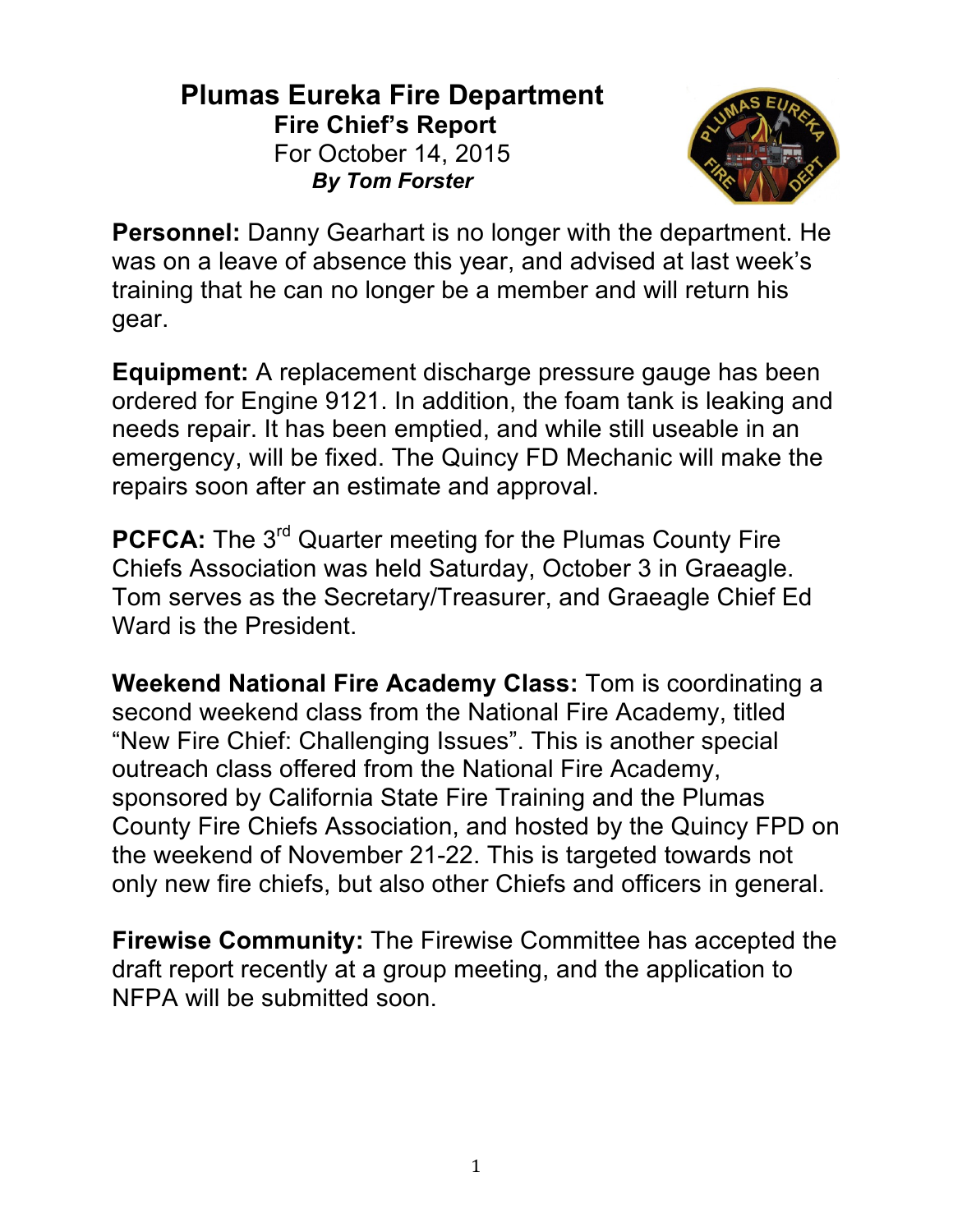## **Plumas Eureka Fire Department Fire Chief's Report** For October 14, 2015 *By Tom Forster*



**Personnel:** Danny Gearhart is no longer with the department. He was on a leave of absence this year, and advised at last week's training that he can no longer be a member and will return his gear.

**Equipment:** A replacement discharge pressure gauge has been ordered for Engine 9121. In addition, the foam tank is leaking and needs repair. It has been emptied, and while still useable in an emergency, will be fixed. The Quincy FD Mechanic will make the repairs soon after an estimate and approval.

**PCFCA:** The 3<sup>rd</sup> Quarter meeting for the Plumas County Fire Chiefs Association was held Saturday, October 3 in Graeagle. Tom serves as the Secretary/Treasurer, and Graeagle Chief Ed Ward is the President.

**Weekend National Fire Academy Class:** Tom is coordinating a second weekend class from the National Fire Academy, titled "New Fire Chief: Challenging Issues". This is another special outreach class offered from the National Fire Academy, sponsored by California State Fire Training and the Plumas County Fire Chiefs Association, and hosted by the Quincy FPD on the weekend of November 21-22. This is targeted towards not only new fire chiefs, but also other Chiefs and officers in general.

**Firewise Community:** The Firewise Committee has accepted the draft report recently at a group meeting, and the application to NFPA will be submitted soon.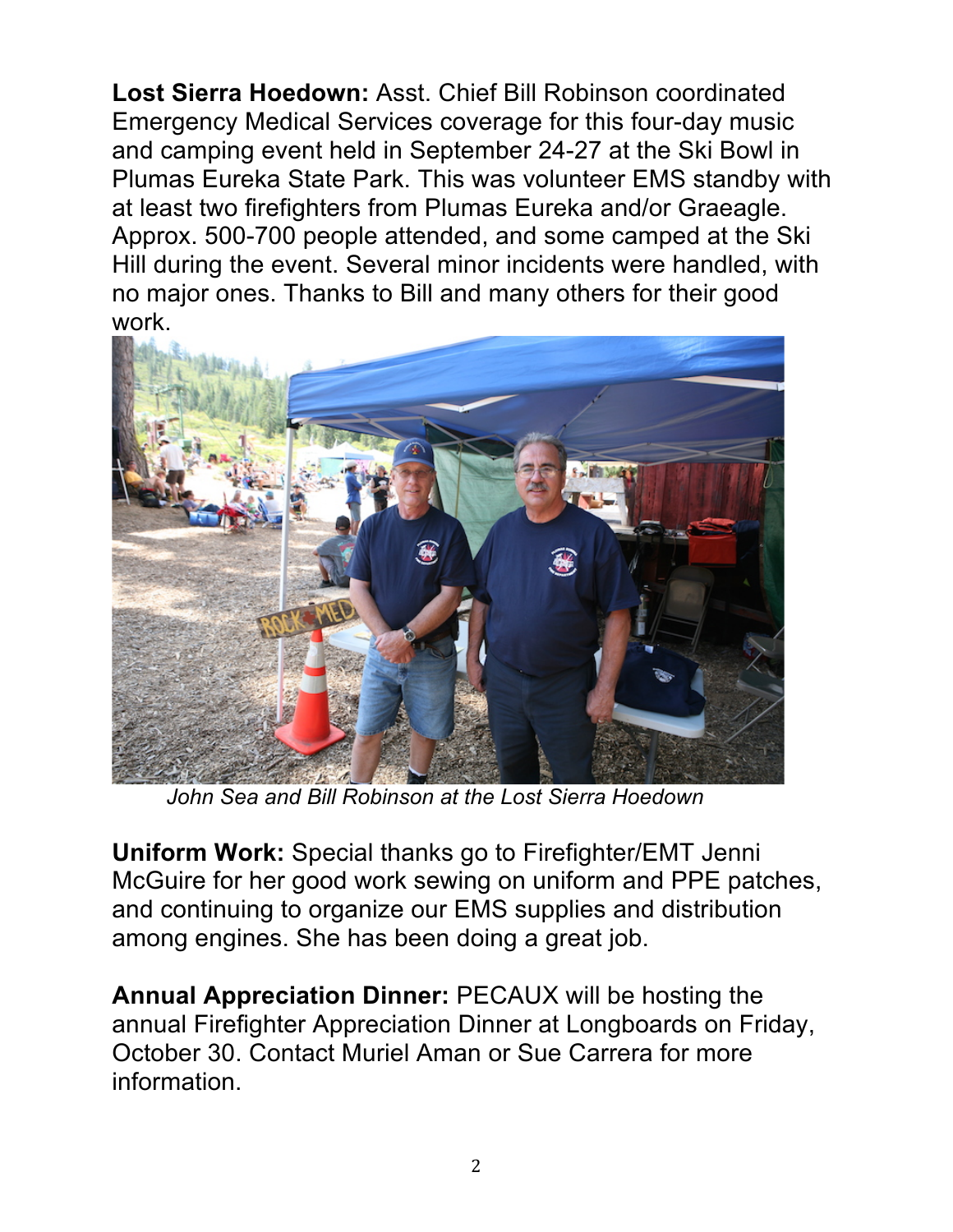**Lost Sierra Hoedown:** Asst. Chief Bill Robinson coordinated Emergency Medical Services coverage for this four-day music and camping event held in September 24-27 at the Ski Bowl in Plumas Eureka State Park. This was volunteer EMS standby with at least two firefighters from Plumas Eureka and/or Graeagle. Approx. 500-700 people attended, and some camped at the Ski Hill during the event. Several minor incidents were handled, with no major ones. Thanks to Bill and many others for their good work.



 *John Sea and Bill Robinson at the Lost Sierra Hoedown*

**Uniform Work:** Special thanks go to Firefighter/EMT Jenni McGuire for her good work sewing on uniform and PPE patches, and continuing to organize our EMS supplies and distribution among engines. She has been doing a great job.

**Annual Appreciation Dinner:** PECAUX will be hosting the annual Firefighter Appreciation Dinner at Longboards on Friday, October 30. Contact Muriel Aman or Sue Carrera for more information.